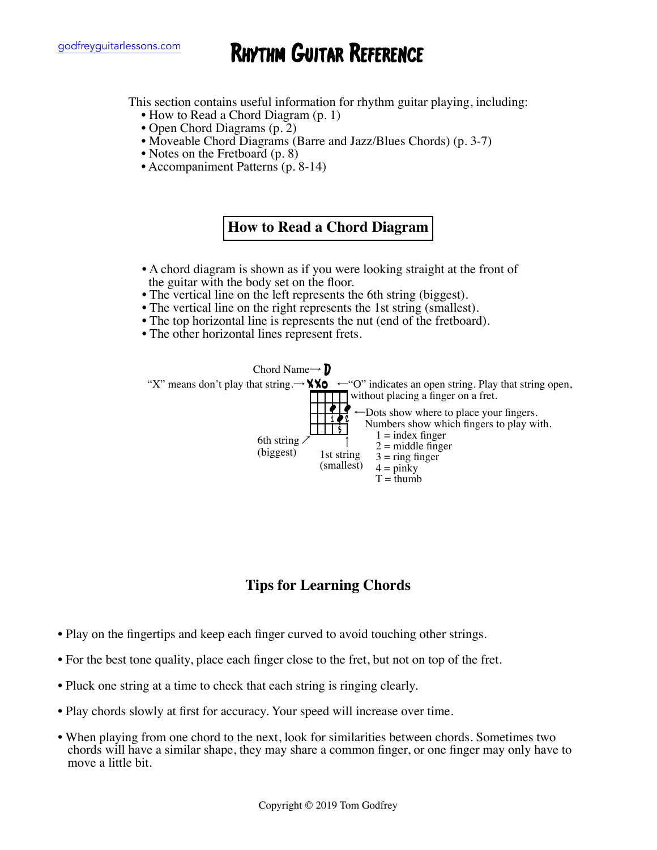# godfreyguitarlessons.com **RHYTHM GUITAR REFERENCE**

This section contains useful information for rhythm guitar playing, including:<br>• How to Read a Chord Diagram (p. 1)

- 
- 
- Open Chord Diagrams (p. 2)<br>• Moveable Chord Diagrams (Barre and Jazz/Blues Chords) (p. 3-7)<br>• Notes on the Fretboard (p. 8)<br>• Accompaniment Patterns (p. 8-14)
- 
- 

# **How to Read a Chord Diagram**

- A chord diagram is shown as if you were looking straight at the front of the guitar with the body set on the floor.
- The vertical line on the left represents the 6th string (biggest).
- The vertical line on the right represents the 1st string (smallest).
- The top horizontal line is represents the nut (end of the fretboard).
- The other horizontal lines represent frets.



## **Tips for Learning Chords**

- Play on the fingertips and keep each finger curved to avoid touching other strings.
- For the best tone quality, place each finger close to the fret, but not on top of the fret.
- Pluck one string at a time to check that each string is ringing clearly.
- Play chords slowly at first for accuracy. Your speed will increase over time.
- When playing from one chord to the next, look for similarities between chords. Sometimes two chords will have a similar shape, they may share a common finger, or one finger may only have to move a little bit.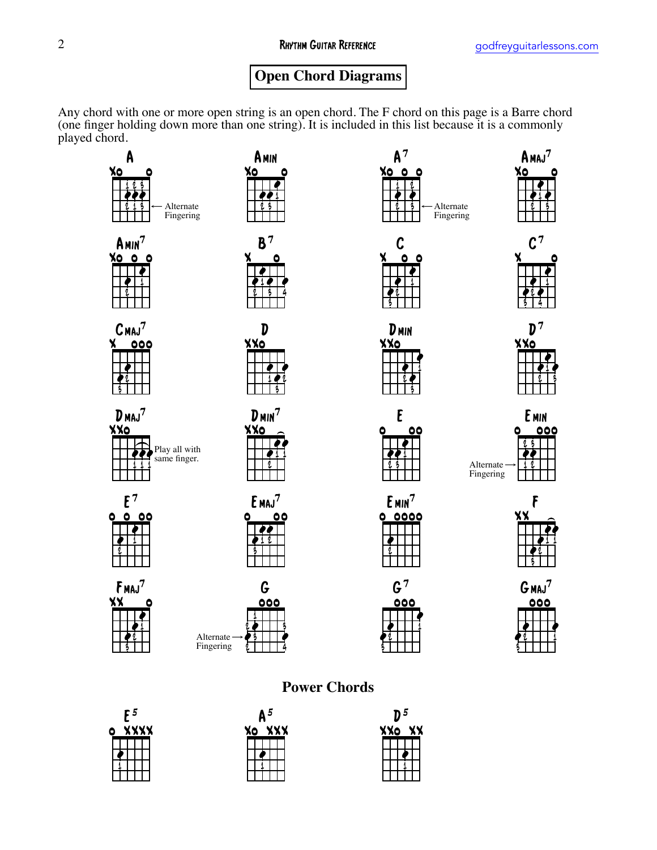# **Open Chord Diagrams**

Any chord with one or more open string is an open chord. The F chord on this page is a Barre chord (one finger holding down more than one string). It is included in this list because it is a commonly played chord.



# **Power Chords**



| 5<br>A<br>X٥<br>xxx |  |  |  |  |  |  |  |  |
|---------------------|--|--|--|--|--|--|--|--|
|                     |  |  |  |  |  |  |  |  |
|                     |  |  |  |  |  |  |  |  |
|                     |  |  |  |  |  |  |  |  |
|                     |  |  |  |  |  |  |  |  |

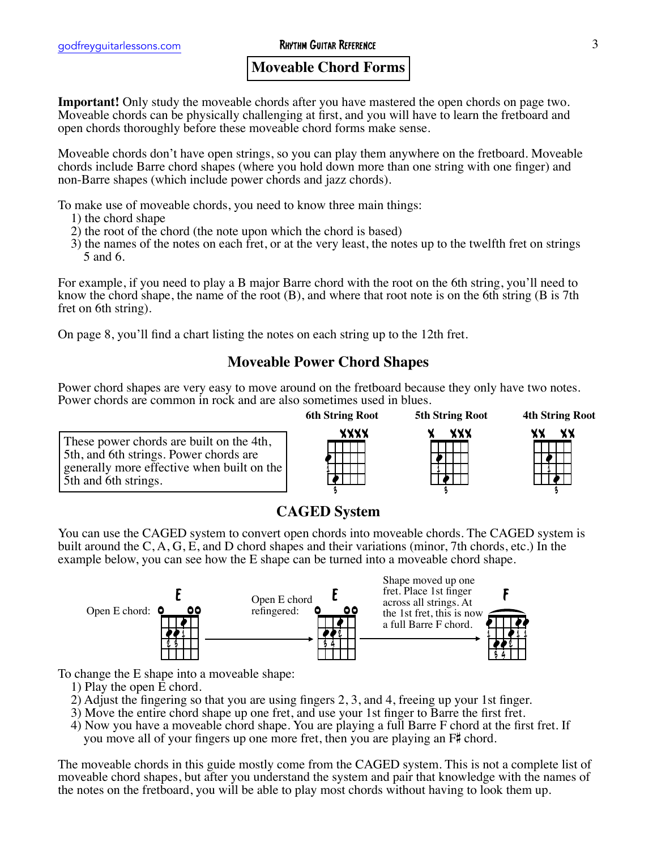### **Moveable Chord Forms**

**Important!** Only study the moveable chords after you have mastered the open chords on page two. Moveable chords can be physically challenging at first, and you will have to learn the fretboard and open chords thoroughly before these moveable chord forms make sense.

Moveable chords don't have open strings, so you can play them anywhere on the fretboard. Moveable chords include Barre chord shapes (where you hold down more than one string with one finger) and non-Barre shapes (which include power chords and jazz chords).

To make use of moveable chords, you need to know three main things:

- 
- 
- 1) the root of the chord (the note upon which the chord is based)<br>3) the names of the notes on each fret, or at the very least, the notes up to the twelfth fret on strings 5 and 6.

For example, if you need to play a B major Barre chord with the root on the 6th string, you'll need to know the chord shape, the name of the root (B), and where that root note is on the 6th string (B is 7th fret on 6th string).

On page 8, you'll find a chart listing the notes on each string up to the 12th fret.

## **Moveable Power Chord Shapes**

Power chord shapes are very easy to move around on the fretboard because they only have two notes. Power chords are common in rock and are also sometimes used in blues.

These power chords are built on the 4th, 5th, and 6th strings. Power chords are generally more effective when built on the 5th and 6th strings.



x xxx ∮  $\frac{1}{2}$ 1 3

**5th String Root**

 $\frac{1}{2}$  $\frac{1}{2}$ xx xx 1

**4th String Root**

3

## **CAGED System**

You can use the CAGED system to convert open chords into moveable chords. The CAGED system is built around the C, A, G, E, and D chord shapes and their variations (minor, 7th chords, etc.) In the example below, you can see how the E shape can be turned into a moveable chord shape.



To change the E shape into a moveable shape:

- 
- 
- 
- 1) Play the open E chord.<br>
2) Adjust the fingering so that you are using fingers 2, 3, and 4, freeing up your 1st finger.<br>
3) Move the entire chord shape up one fret, and use your 1st finger to Barre the first fret.<br>
4) N

The moveable chords in this guide mostly come from the CAGED system. This is not a complete list of moveable chord shapes, but after you understand the system and pair that knowledge with the names of the notes on the fretboard, you will be able to play most chords without having to look them up.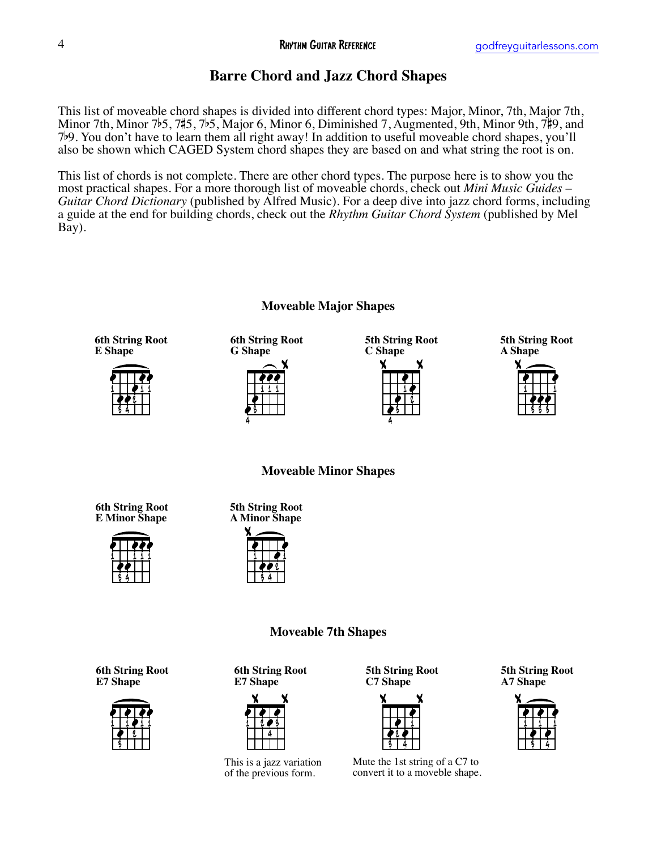# **Barre Chord and Jazz Chord Shapes**

This list of moveable chord shapes is divided into different chord types: Major, Minor, 7th, Major 7th, Minor 7th, Minor 7b5, 7#5, 7b5, Major 6, Minor 6, Diminished 7, Augmented, 9th, Minor 9th, 7#9, and 7b9. You don't have to learn them all right away! In addition to useful moveable chord shapes, you'll also be shown which CAGED System chord shapes they are based on and what string the root is on.

This list of chords is not complete. There are other chord types. The purpose here is to show you the most practical shapes. For a more thorough list of moveable chords, check out *Mini Music Guides – Guitar Chord Dictionary* (published by Alfred Music). For a deep dive into jazz chord forms, including a guide at the end for building chords, check out the *Rhythm Guitar Chord System* (published by Mel Bay).



Mute the 1st string of a C7 to convert it to a moveble shape.

This is a jazz variation of the previous form.

#### **Moveable Major Shapes**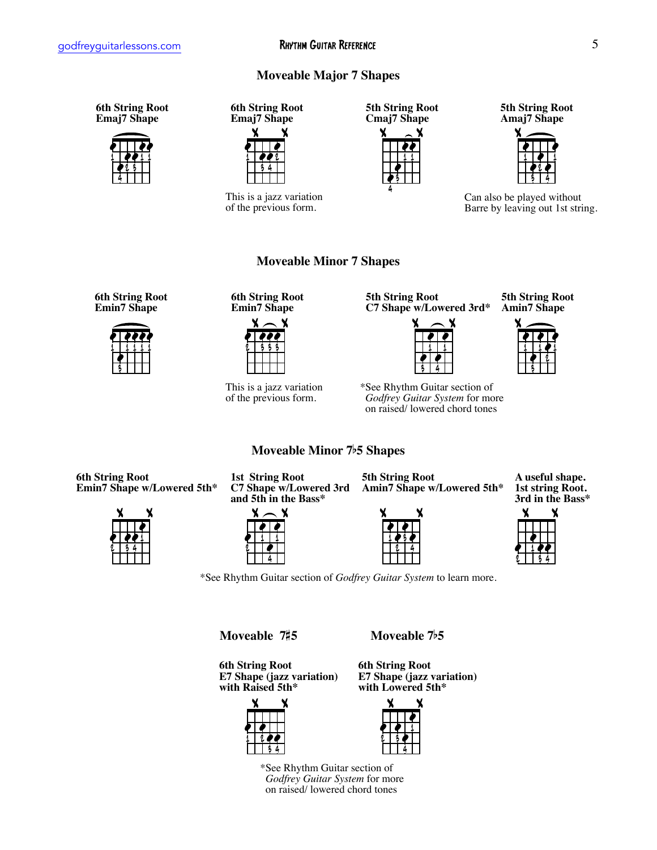#### **Moveable Major 7 Shapes**

**Moveable Minor 7 Shapes**

**Moveable Minor 7**b**5 Shapes**

**6th String Root Emaj7 Shape**



**6th String Root Emaj7 Shape**



This is a jazz variation of the previous form.

**5th String Root Cmaj7 Shape**



**5th String Root Amaj7 Shape**



Can also be played without Barre by leaving out 1st string.

**6th String Root Emin7 Shape**



**6th String Root Emin7 Shape**



This is a jazz variation of the previous form.

**5th String Root C7 Shape w/Lowered 3rd\***



\*See Rhythm Guitar section of  *Godfrey Guitar System* for more on raised/ lowered chord tones

**5th String Root Amin7 Shape**

**6th String Root Emin7 Shape w/Lowered 5th\***



**1st String Root C7 Shape w/Lowered 3rd and 5th in the Bass\***



**5th String Root Amin7 Shape w/Lowered 5th\***



**A useful shape. 1st string Root. 3rd in the Bass\***

\*See Rhythm Guitar section of *Godfrey Guitar System* to learn more.

**Moveable 7**#**5 Moveable 7**b**5**

**6th String Root E7 Shape (jazz variation) with Raised 5th\***





 $\frac{11}{2}$  $\frac{1}{2}$ **.** x x <u>r 13</u> 4 1

\*See Rhythm Guitar section of  *Godfrey Guitar System* for more on raised/ lowered chord tones

x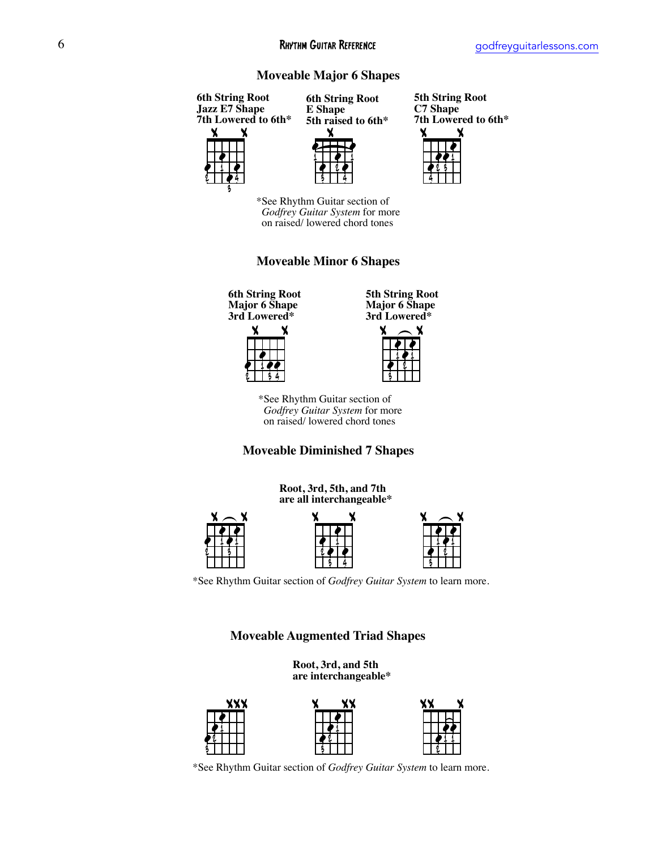#### **Moveable Major 6 Shapes**



**5th String Root C7 Shape 7th Lowered to 6th\***



\*See Rhythm Guitar section of  *Godfrey Guitar System* for more on raised/ lowered chord tones

3 4

#### **Moveable Minor 6 Shapes**

**6th String Root Major 6 Shape 3rd Lowered\***

2

3 4

> |<br>|-<br>|- $\frac{1}{2}$  $\frac{1}{2}$ x x 2 1 3 4

**5th String Root Major 6 Shape 3rd Lowered\***

<u>∤</u>

2



\*See Rhythm Guitar section of  *Godfrey Guitar System* for more on raised/ lowered chord tones

#### **Moveable Diminished 7 Shapes**



\*See Rhythm Guitar section of *Godfrey Guitar System* to learn more.

#### **Moveable Augmented Triad Shapes**

**Root, 3rd, and 5th are interchangeable\***



|<br>|-<br>|-





\*See Rhythm Guitar section of *Godfrey Guitar System* to learn more.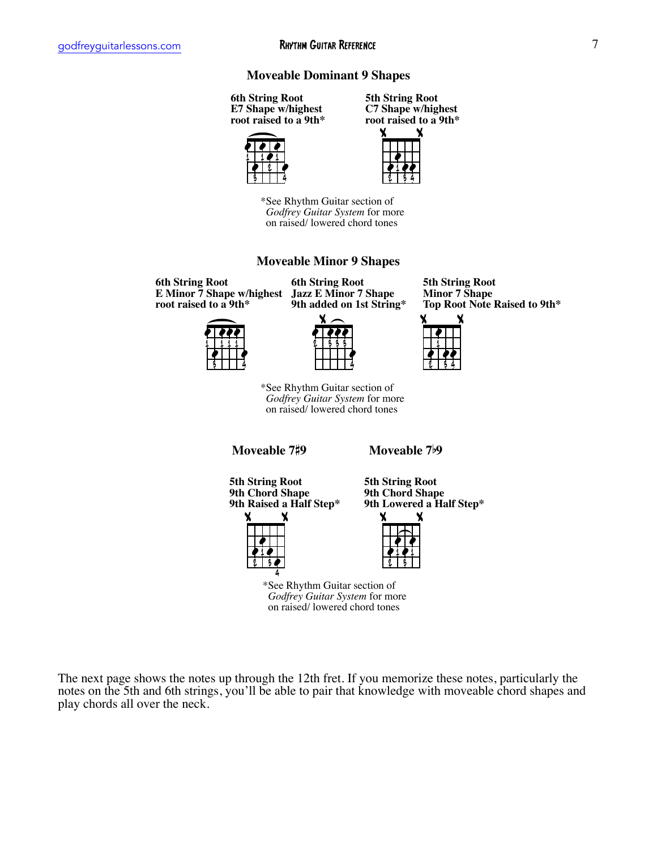#### **Moveable Dominant 9 Shapes**

**6th String Root E7 Shape w/highest root raised to a 9th\***







\*See Rhythm Guitar section of  *Godfrey Guitar System* for more on raised/ lowered chord tones

#### **Moveable Minor 9 Shapes**

**6th String Root E Minor 7 Shape w/highest root raised to a 9th\***



**6th String Root Jazz E Minor 7 Shape 9th added on 1st String\***



\*See Rhythm Guitar section of  *Godfrey Guitar System* for more on raised/ lowered chord tones

**Moveable 7**#**9 Moveable 7**b**9**

**5th String Root 9th Chord Shape 9th Raised a Half Step\***



**5th String Root 9th Chord Shape 9th Lowered a Half Step\***

 $x \rightarrow$ 

**5th String Root Minor 7 Shape**

**Top Root Note Raised to 9th\***

**.** 

 $\frac{1}{2}$ 



\*See Rhythm Guitar section of  *Godfrey Guitar System* for more on raised/ lowered chord tones

The next page shows the notes up through the 12th fret. If you memorize these notes, particularly the notes on the 5th and 6th strings, you'll be able to pair that knowledge with moveable chord shapes and play chords all over the neck.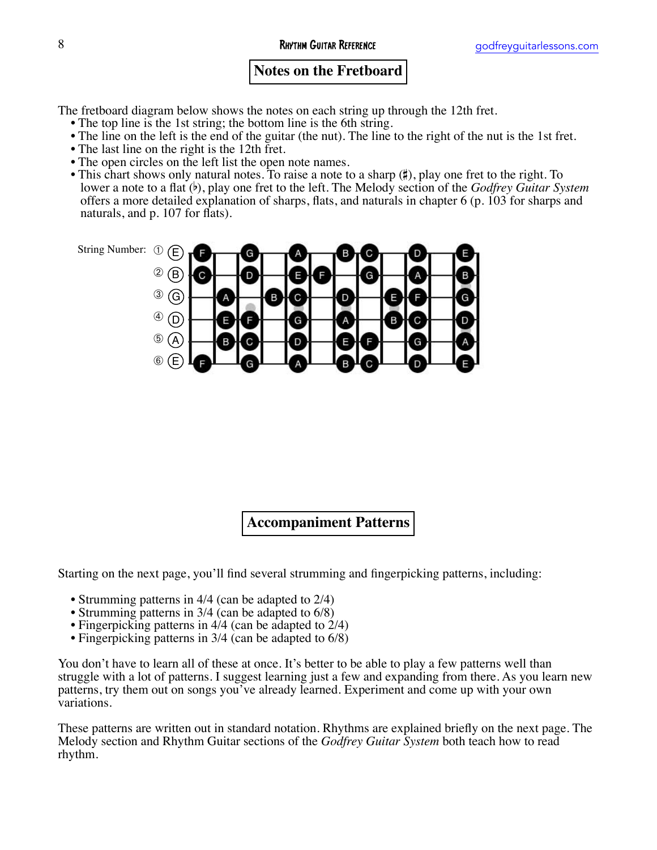### **Notes on the Fretboard**

The fretboard diagram below shows the notes on each string up through the 12th fret.<br>• The top line is the 1st string; the bottom line is the 6th string.

- 
- 
- 
- 
- The line on the left is the end of the guitar (the nut). The line to the right of the nut is the 1st fret.<br>• The last line on the right is the 12th fret.<br>• The open circles on the left list the open note names.<br>• This c



**Accompaniment Patterns**

Starting on the next page, you'll find several strumming and fingerpicking patterns, including:

- 
- 
- Strumming patterns in 4/4 (can be adapted to 2/4)<br>• Strumming patterns in 3/4 (can be adapted to 6/8)<br>• Fingerpicking patterns in 3/4 (can be adapted to 6/8)<br>• Fingerpicking patterns in 3/4 (can be adapted to 6/8)
- 

You don't have to learn all of these at once. It's better to be able to play a few patterns well than struggle with a lot of patterns. I suggest learning just a few and expanding from there. As you learn new patterns, try them out on songs you've already learned. Experiment and come up with your own variations.

These patterns are written out in standard notation. Rhythms are explained briefly on the next page. The Melody section and Rhythm Guitar sections of the *Godfrey Guitar System* both teach how to read rhythm.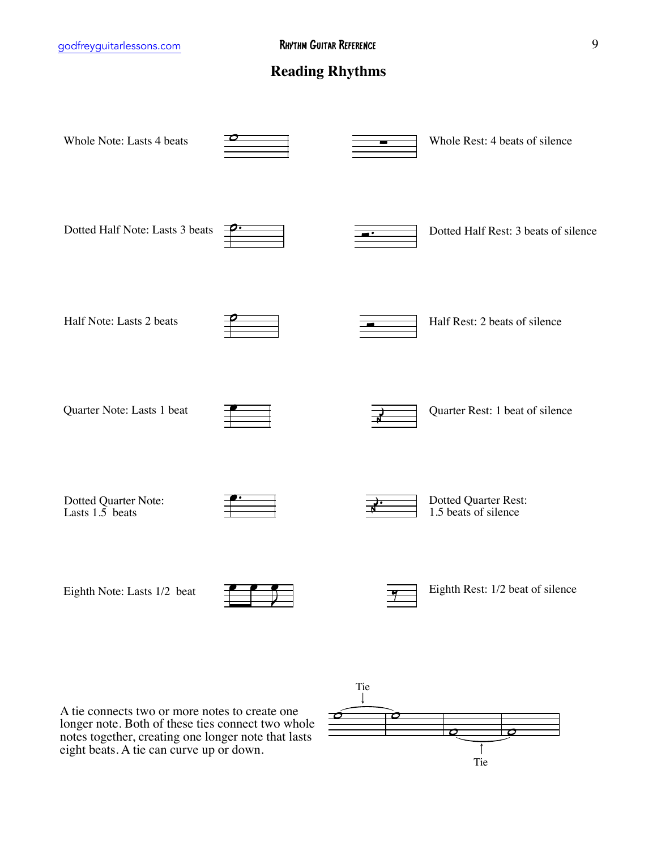### **Reading Rhythms**

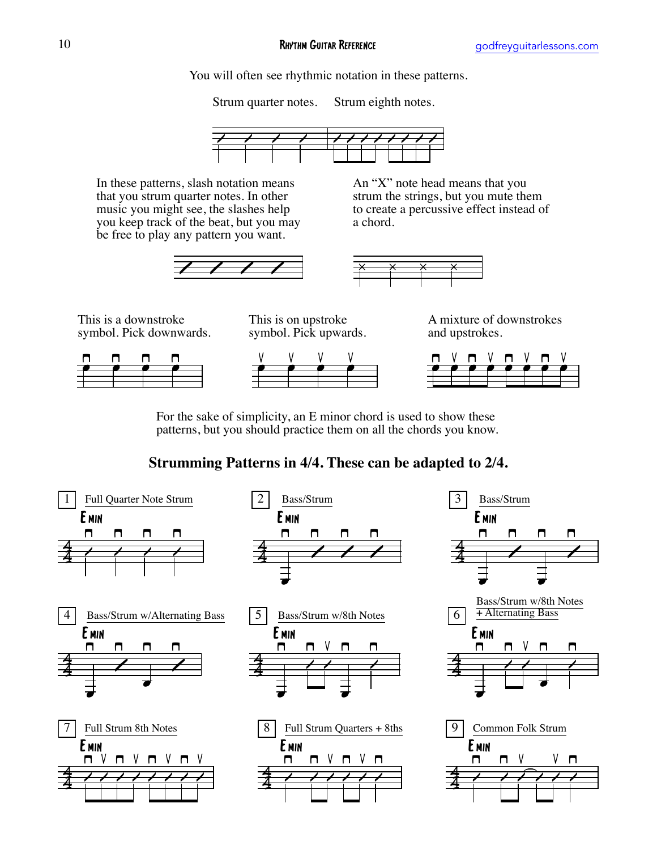You will often see rhythmic notation in these patterns.

Strum quarter notes. Strum eighth notes.



a chord.



In these patterns, slash notation means that you strum quarter notes. In other music you might see, the slashes help you keep track of the beat, but you may be free to play any pattern you want.



An "X" note head means that you strum the strings, but you mute them to create a percussive effect instead of

This is a downstroke symbol. Pick downwards.

This is on upstroke symbol. Pick upwards.









For the sake of simplicity, an E minor chord is used to show these patterns, but you should practice them on all the chords you know.

# **Strumming Patterns in 4/4. These can be adapted to 2/4.**

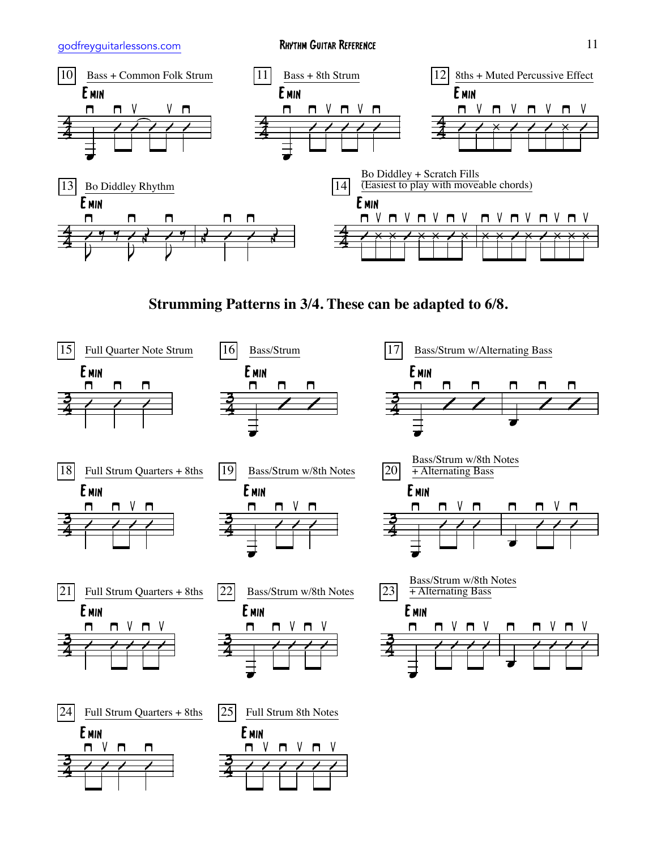

**Strumming Patterns in 3/4. These can be adapted to 6/8.**

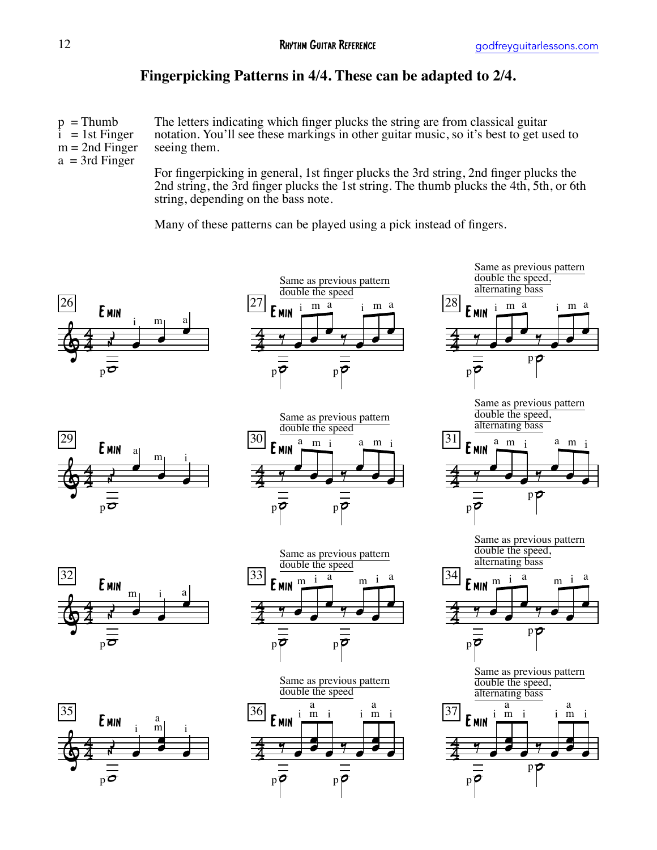# **Fingerpicking Patterns in 4/4. These can be adapted to 2/4.**

 $p = Thumb$  $i = 1$ st Finger  $m = 2nd$  Finger  $a = 3rd$  Finger

The letters indicating which finger plucks the string are from classical guitar notation. You'll see these markings in other guitar music, so it's best to get used to seeing them.

For fingerpicking in general, 1st finger plucks the 3rd string, 2nd finger plucks the 2nd string, the 3rd finger plucks the 1st string. The thumb plucks the 4th, 5th, or 6th string, depending on the bass note.

Many of these patterns can be played using a pick instead of fingers.

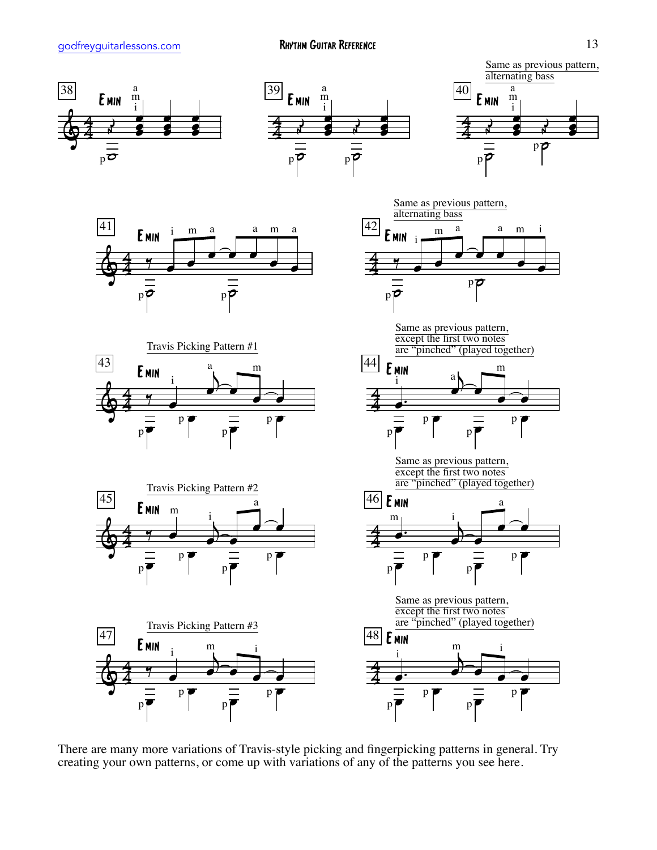

There are many more variations of Travis-style picking and fingerpicking patterns in general. Try creating your own patterns, or come up with variations of any of the patterns you see here.